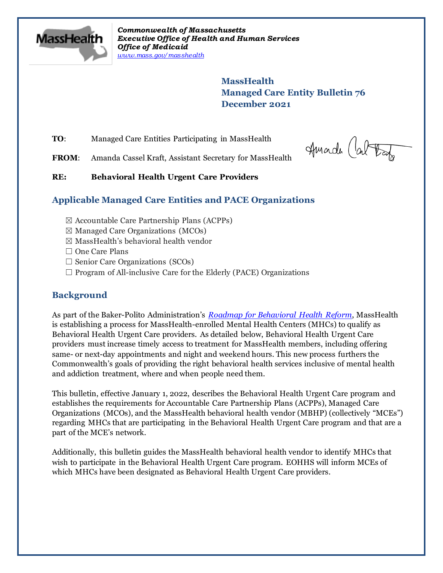

*Commonwealth of Massachusetts Executive Office of Health and Human Services Office of Medicaid [www.mass.gov/masshealth](http://www.mass.gov/masshealth)*

> **MassHealth Managed Care Entity Bulletin 76 December 2021**

**TO:** Managed Care Entities Participating in MassHealth

Amade (al Tatz

FROM: Amanda Cassel Kraft, Assistant Secretary for MassHealth

#### **RE: Behavioral Health Urgent Care Providers**

#### **Applicable Managed Care Entities and PACE Organizations**

- $\boxtimes$  Accountable Care Partnership Plans (ACPPs)
- $\boxtimes$  Managed Care Organizations (MCOs)
- $\boxtimes$  MassHealth's behavioral health vendor
- □ One Care Plans
- $\Box$  Senior Care Organizations (SCOs)
- $\Box$  Program of All-inclusive Care for the Elderly (PACE) Organizations

#### **Background**

As part of the Baker-Polito Administration's *[Roadmap for Behavioral Health Reform](https://www.mass.gov/service-details/roadmap-for-behavioral-health-reform)*, MassHealth is establishing a process for MassHealth-enrolled Mental Health Centers (MHCs) to qualify as Behavioral Health Urgent Care providers. As detailed below, Behavioral Health Urgent Care providers must increase timely access to treatment for MassHealth members, including offering same- or next-day appointments and night and weekend hours. This new process furthers the Commonwealth's goals of providing the right behavioral health services inclusive of mental health and addiction treatment, where and when people need them.

This bulletin, effective January 1, 2022, describes the Behavioral Health Urgent Care program and establishes the requirements for Accountable Care Partnership Plans (ACPPs), Managed Care Organizations (MCOs), and the MassHealth behavioral health vendor (MBHP) (collectively "MCEs") regarding MHCs that are participating in the Behavioral Health Urgent Care program and that are a part of the MCE's network.

Additionally, this bulletin guides the MassHealth behavioral health vendor to identify MHCs that wish to participate in the Behavioral Health Urgent Care program. EOHHS will inform MCEs of which MHCs have been designated as Behavioral Health Urgent Care providers.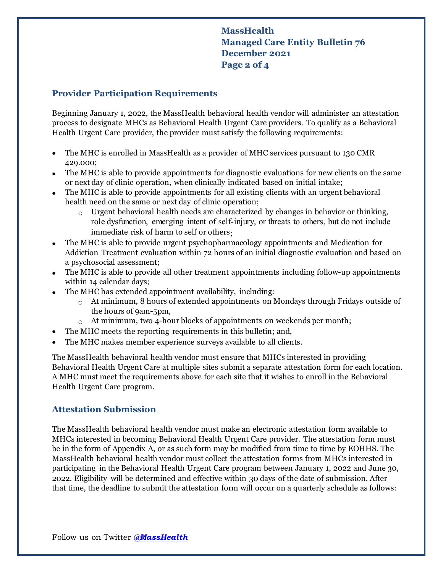### **MassHealth Managed Care Entity Bulletin 76 December 2021 Page 2 of 4**

#### **Provider Participation Requirements**

Beginning January 1, 2022, the MassHealth behavioral health vendor will administer an attestation process to designate MHCs as Behavioral Health Urgent Care providers. To qualify as a Behavioral Health Urgent Care provider, the provider must satisfy the following requirements:

- The MHC is enrolled in MassHealth as a provider of MHC services pursuant to 130 CMR 429.000;
- The MHC is able to provide appointments for diagnostic evaluations for new clients on the same or next day of clinic operation, when clinically indicated based on initial intake;
- The MHC is able to provide appointments for all existing clients with an urgent behavioral health need on the same or next day of clinic operation;
	- $\circ$  Urgent behavioral health needs are characterized by changes in behavior or thinking, role dysfunction, emerging intent of self-injury, or threats to others, but do not include immediate risk of harm to self or others;
- The MHC is able to provide urgent psychopharmacology appointments and Medication for Addiction Treatment evaluation within 72 hours of an initial diagnostic evaluation and based on a psychosocial assessment;
- The MHC is able to provide all other treatment appointments including follow-up appointments within 14 calendar days;
- The MHC has extended appointment availability, including:
	- $\alpha$  At minimum, 8 hours of extended appointments on Mondays through Fridays outside of the hours of 9am-5pm,
	- $\circ$  At minimum, two 4-hour blocks of appointments on weekends per month;
	- The MHC meets the reporting requirements in this bulletin; and,
- The MHC makes member experience surveys available to all clients.

The MassHealth behavioral health vendor must ensure that MHCs interested in providing Behavioral Health Urgent Care at multiple sites submit a separate attestation form for each location. A MHC must meet the requirements above for each site that it wishes to enroll in the Behavioral Health Urgent Care program.

#### **Attestation Submission**

The MassHealth behavioral health vendor must make an electronic attestation form available to MHCs interested in becoming Behavioral Health Urgent Care provider. The attestation form must be in the form of Appendix A, or as such form may be modified from time to time by EOHHS. The MassHealth behavioral health vendor must collect the attestation forms from MHCs interested in participating in the Behavioral Health Urgent Care program between January 1, 2022 and June 30, 2022. Eligibility will be determined and effective within 30 days of the date of submission. After that time, the deadline to submit the attestation form will occur on a quarterly schedule as follows: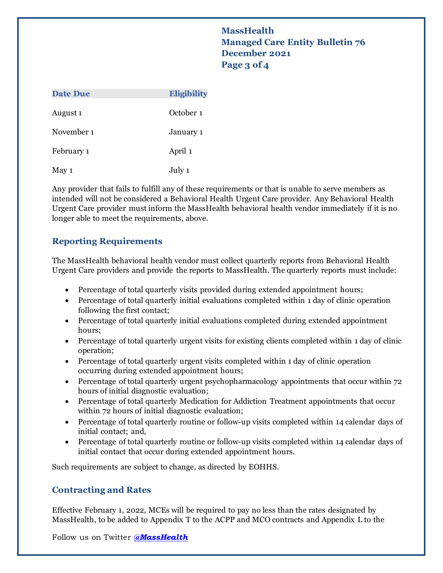**MassHealth Managed Care Entity Bulletin 76 December 2021 Page 3 of 4**

| <b>Date Due</b>     | <b>Eligibility</b> |
|---------------------|--------------------|
| August <sub>1</sub> | October 1          |
| November 1          | January 1          |
| February 1          | April 1            |
| May 1               | July 1             |

Any provider that fails to fulfill any of these requirements or that is unable to serve members as intended will not be considered a Behavioral Health Urgent Care provider. Any Behavioral Health Urgent Care provider must inform the MassHealth behavioral health vendor immediately if it is no longer able to meet the requirements, above.

#### **Reporting Requirements**

The MassHealth behavioral health vendor must collect quarterly reports from Behavioral Health Urgent Care providers and provide the reports to MassHealth. The quarterly reports must include:

- Percentage of total quarterly visits provided during extended appointment hours;
- Percentage of total quarterly initial evaluations completed within 1 day of clinic operation following the first contact;
- Percentage of total quarterly initial evaluations completed during extended appointment hours;
- Percentage of total quarterly urgent visits for existing clients completed within 1 day of clinic operation;
- Percentage of total quarterly urgent visits completed within 1 day of clinic operation occurring during extended appointment hours;
- Percentage of total quarterly urgent psychopharmacology appointments that occur within 72 hours of initial diagnostic evaluation;
- Percentage of total quarterly Medication for Addiction Treatment appointments that occur within 72 hours of initial diagnostic evaluation;
- Percentage of total quarterly routine or follow-up visits completed within 14 calendar days of initial contact; and,
- Percentage of total quarterly routine or follow-up visits completed within 14 calendar days of initial contact that occur during extended appointment hours.

Such requirements are subject to change, as directed by EOHHS.

#### **Contracting and Rates**

Effective February 1, 2022, MCEs will be required to pay no less than the rates designated by MassHealth, to be added to Appendix T to the ACPP and MCO contracts and Appendix L to the

Follow us on Twitter *[@MassHealth](https://twitter.com/masshealth)*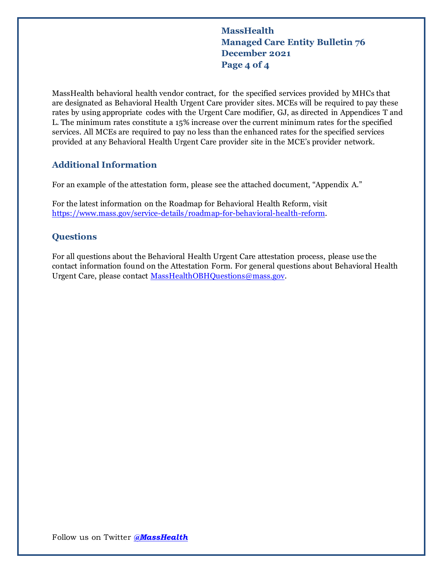**MassHealth Managed Care Entity Bulletin 76 December 2021 Page 4 of 4**

MassHealth behavioral health vendor contract, for the specified services provided by MHCs that are designated as Behavioral Health Urgent Care provider sites. MCEs will be required to pay these rates by using appropriate codes with the Urgent Care modifier, GJ, as directed in Appendices T and L. The minimum rates constitute a 15% increase over the current minimum rates for the specified services. All MCEs are required to pay no less than the enhanced rates for the specified services provided at any Behavioral Health Urgent Care provider site in the MCE's provider network.

#### **Additional Information**

For an example of the attestation form, please see the attached document, "Appendix A."

For the latest information on the Roadmap for Behavioral Health Reform, visit [https://www.mass.gov/service-details/roadmap-for-behavioral-health-reform.](https://www.mass.gov/service-details/roadmap-for-behavioral-health-reform) 

#### **Questions**

For all questions about the Behavioral Health Urgent Care attestation process, please use the contact information found on the Attestation Form. For general questions about Behavioral Health Urgent Care, please contact [MassHealthOBHQuestions@mass.gov.](mailto:MassHealthOBHQuestions@mass.gov)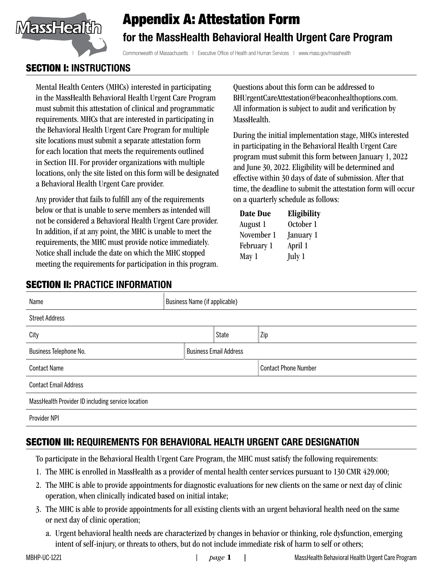

# Appendix A: Attestation Form for the MassHealth Behavioral Health Urgent Care Program

Commonwealth of Massachusetts | Executive Office of Health and Human Services | www.mass.gov/masshealth

## SECTION I: INSTRUCTIONS

Mental Health Centers (MHCs) interested in participating in the MassHealth Behavioral Health Urgent Care Program must submit this attestation of clinical and programmatic requirements. MHCs that are interested in participating in the Behavioral Health Urgent Care Program for multiple site locations must submit a separate attestation form for each location that meets the requirements outlined in Section III. For provider organizations with multiple locations, only the site listed on this form will be designated a Behavioral Health Urgent Care provider.

Any provider that fails to fulfill any of the requirements below or that is unable to serve members as intended will not be considered a Behavioral Health Urgent Care provider. In addition, if at any point, the MHC is unable to meet the requirements, the MHC must provide notice immediately. Notice shall include the date on which the MHC stopped meeting the requirements for participation in this program.

Questions about this form can be addressed to BHUrgentCareAttestation@beaconhealthoptions.com. All information is subject to audit and verification by MassHealth.

During the initial implementation stage, MHCs interested in participating in the Behavioral Health Urgent Care program must submit this form between January 1, 2022 and June 30, 2022. Eligibility will be determined and effective within 30 days of date of submission. After that time, the deadline to submit the attestation form will occur on a quarterly schedule as follows:

| Date Due   | Eligibility |  |
|------------|-------------|--|
| August 1   | October 1   |  |
| November 1 | January 1   |  |
| February 1 | April 1     |  |
| May 1      | July 1      |  |

# SECTION II: PRACTICE INFORMATION

| Name                                              | Business Name (if applicable) |              |                             |  |
|---------------------------------------------------|-------------------------------|--------------|-----------------------------|--|
| <b>Street Address</b>                             |                               |              |                             |  |
| City                                              |                               | <b>State</b> | Zip                         |  |
| Business Telephone No.                            | <b>Business Email Address</b> |              |                             |  |
| <b>Contact Name</b>                               |                               |              | <b>Contact Phone Number</b> |  |
| <b>Contact Email Address</b>                      |                               |              |                             |  |
| MassHealth Provider ID including service location |                               |              |                             |  |
| Provider NPI                                      |                               |              |                             |  |

# SECTION III: REQUIREMENTS FOR BEHAVIORAL HEALTH URGENT CARE DESIGNATION

To participate in the Behavioral Health Urgent Care Program, the MHC must satisfy the following requirements:

- 1. The MHC is enrolled in MassHealth as a provider of mental health center services pursuant to 130 CMR 429.000;
- 2. The MHC is able to provide appointments for diagnostic evaluations for new clients on the same or next day of clinic operation, when clinically indicated based on initial intake;
- 3. The MHC is able to provide appointments for all existing clients with an urgent behavioral health need on the same or next day of clinic operation;
	- a. Urgent behavioral health needs are characterized by changes in behavior or thinking, role dysfunction, emerging intent of self-injury, or threats to others, but do not include immediate risk of harm to self or others;